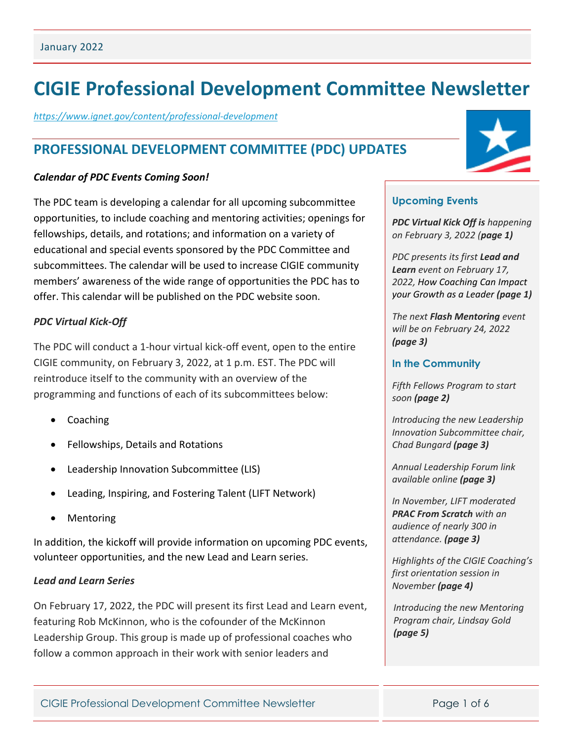# **CIGIE Professional Development Committee Newsletter**

*<https://www.ignet.gov/content/professional-development>*

# **PROFESSIONAL DEVELOPMENT COMMITTEE (PDC) UPDATES**

#### *Calendar of PDC Events Coming Soon!*

The PDC team is developing a calendar for all upcoming subcommittee opportunities, to include coaching and mentoring activities; openings for fellowships, details, and rotations; and information on a variety of educational and special events sponsored by the PDC Committee and subcommittees. The calendar will be used to increase CIGIE community members' awareness of the wide range of opportunities the PDC has to offer. This calendar will be published on the PDC website soon.

### *PDC Virtual Kick-Off*

The PDC will conduct a 1-hour virtual kick-off event, open to the entire CIGIE community, on February 3, 2022, at 1 p.m. EST. The PDC will reintroduce itself to the community with an overview of the programming and functions of each of its subcommittees below:

- Coaching
- Fellowships, Details and Rotations
- Leadership Innovation Subcommittee (LIS)
- Leading, Inspiring, and Fostering Talent (LIFT Network)
- **Mentoring**

In addition, the kickoff will provide information on upcoming PDC events, volunteer opportunities, and the new Lead and Learn series.

### *Lead and Learn Series*

On February 17, 2022, the PDC will present its first Lead and Learn event, featuring Rob McKinnon, who is the cofounder of the McKinnon Leadership Group. This group is made up of professional coaches who follow a common approach in their work with senior leaders and



### **Upcoming Events**

*PDC Virtual Kick Off is happening on February 3, 2022 (page 1)*

*PDC presents its first Lead and Learn event on February 17, 2022, How Coaching Can Impact your Growth as a Leader (page 1)*

*The next Flash Mentoring event will be on February 24, 2022 (page 3)*

#### **In the Community**

*Fifth Fellows Program to start soon (page 2)*

*Introducing the new Leadership Innovation Subcommittee chair, Chad Bungard (page 3)*

*Annual Leadership Forum link available online (page 3)*

*In November, LIFT moderated PRAC From Scratch with an audience of nearly 300 in attendance. (page 3)*

*Highlights of the CIGIE Coaching's first orientation session in November (page 4)*

*Introducing the new Mentoring Program chair, Lindsay Gold (page 5)*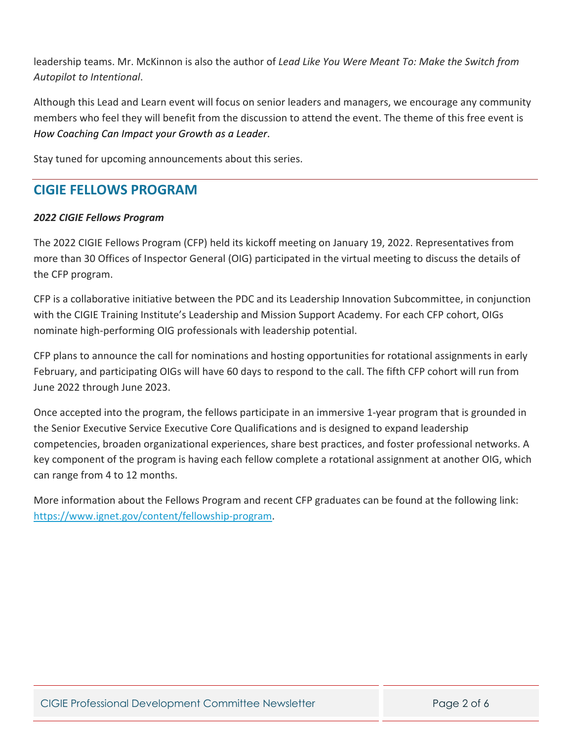leadership teams. Mr. McKinnon is also the author of *Lead Like You Were Meant To: Make the Switch from Autopilot to Intentional*.

Although this Lead and Learn event will focus on senior leaders and managers, we encourage any community members who feel they will benefit from the discussion to attend the event. The theme of this free event is *How Coaching Can Impact your Growth as a Leader*.

Stay tuned for upcoming announcements about this series.

# **CIGIE FELLOWS PROGRAM**

### *2022 CIGIE Fellows Program*

The 2022 CIGIE Fellows Program (CFP) held its kickoff meeting on January 19, 2022. Representatives from more than 30 Offices of Inspector General (OIG) participated in the virtual meeting to discuss the details of the CFP program.

CFP is a collaborative initiative between the PDC and its Leadership Innovation Subcommittee, in conjunction with the CIGIE Training Institute's Leadership and Mission Support Academy. For each CFP cohort, OIGs nominate high-performing OIG professionals with leadership potential.

CFP plans to announce the call for nominations and hosting opportunities for rotational assignments in early February, and participating OIGs will have 60 days to respond to the call. The fifth CFP cohort will run from June 2022 through June 2023.

Once accepted into the program, the fellows participate in an immersive 1-year program that is grounded in the Senior Executive Service Executive Core Qualifications and is designed to expand leadership competencies, broaden organizational experiences, share best practices, and foster professional networks. A key component of the program is having each fellow complete a rotational assignment at another OIG, which can range from 4 to 12 months.

More information about the Fellows Program and recent CFP graduates can be found at the following link: [https://www.ignet.gov/content/fellowship-program.](https://www.ignet.gov/content/fellowship-program)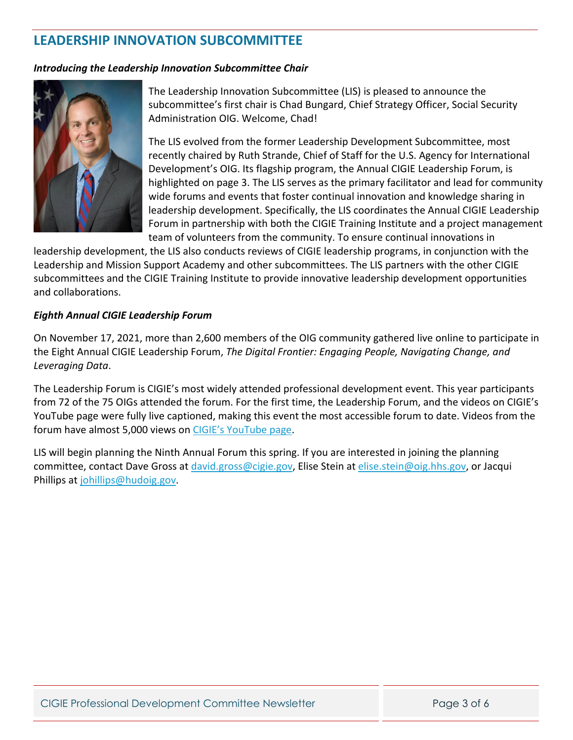# **LEADERSHIP INNOVATION SUBCOMMITTEE**

#### *Introducing the Leadership Innovation Subcommittee Chair*



The Leadership Innovation Subcommittee (LIS) is pleased to announce the subcommittee's first chair is Chad Bungard, Chief Strategy Officer, Social Security Administration OIG. Welcome, Chad!

The LIS evolved from the former Leadership Development Subcommittee, most recently chaired by Ruth Strande, Chief of Staff for the U.S. Agency for International Development's OIG. Its flagship program, the Annual CIGIE Leadership Forum, is highlighted on page 3. The LIS serves as the primary facilitator and lead for community wide forums and events that foster continual innovation and knowledge sharing in leadership development. Specifically, the LIS coordinates the Annual CIGIE Leadership Forum in partnership with both the CIGIE Training Institute and a project management team of volunteers from the community. To ensure continual innovations in

leadership development, the LIS also conducts reviews of CIGIE leadership programs, in conjunction with the Leadership and Mission Support Academy and other subcommittees. The LIS partners with the other CIGIE subcommittees and the CIGIE Training Institute to provide innovative leadership development opportunities and collaborations.

#### *Eighth Annual CIGIE Leadership Forum*

On November 17, 2021, more than 2,600 members of the OIG community gathered live online to participate in the Eight Annual CIGIE Leadership Forum, *The Digital Frontier: Engaging People, Navigating Change, and Leveraging Data*.

The Leadership Forum is CIGIE's most widely attended professional development event. This year participants from 72 of the 75 OIGs attended the forum. For the first time, the Leadership Forum, and the videos on CIGIE's YouTube page were fully live captioned, making this event the most accessible forum to date. Videos from the forum have almost 5,000 views on [CIGIE's YouTube page.](https://www.youtube.com/watch?v=_YNU4gffVTU&list=PLBEthG-7zUGXRV3KqE-gJF1Y7P8zRORYp)

LIS will begin planning the Ninth Annual Forum this spring. If you are interested in joining the planning committee, contact Dave Gross at [david.gross@cigie.gov,](mailto:david.gross@cigie.gov) Elise Stein at [elise.stein@oig.hhs.gov,](mailto:elise.stein@oig.hhs.gov) or Jacqui Phillips at [johillips@hudoig.gov.](mailto:johillips@hudoig.gov)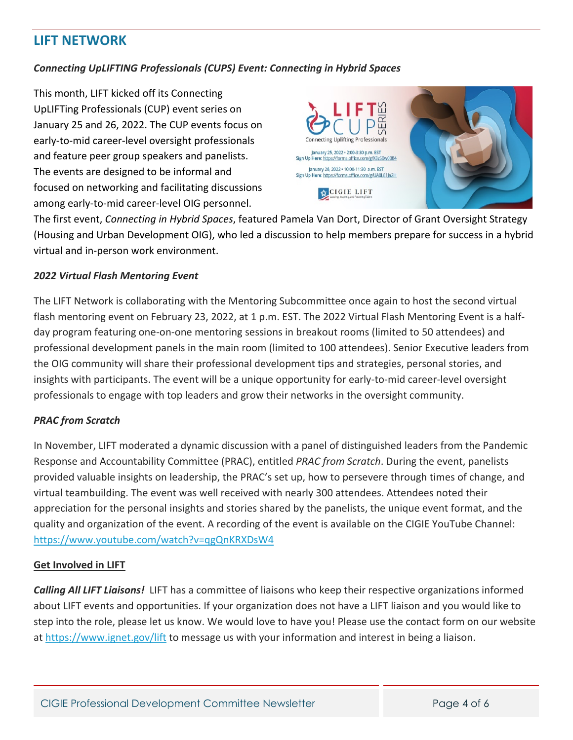# **LIFT NETWORK**

## *Connecting UpLIFTING Professionals (CUPS) Event: Connecting in Hybrid Spaces*

This month, LIFT kicked off its Connecting UpLIFTing Professionals (CUP) event series on January 25 and 26, 2022. The CUP events focus on early-to-mid career-level oversight professionals and feature peer group speakers and panelists. The events are designed to be informal and focused on networking and facilitating discussions among early-to-mid career-level OIG personnel.



The first event, *Connecting in Hybrid Spaces*, featured Pamela Van Dort, Director of Grant Oversight Strategy (Housing and Urban Development OIG), who led a discussion to help members prepare for success in a hybrid virtual and in-person work environment.

### *2022 Virtual Flash Mentoring Event*

The LIFT Network is collaborating with the Mentoring Subcommittee once again to host the second virtual flash mentoring event on February 23, 2022, at 1 p.m. EST. The 2022 Virtual Flash Mentoring Event is a halfday program featuring one-on-one mentoring sessions in breakout rooms (limited to 50 attendees) and professional development panels in the main room (limited to 100 attendees). Senior Executive leaders from the OIG community will share their professional development tips and strategies, personal stories, and insights with participants. The event will be a unique opportunity for early-to-mid career-level oversight professionals to engage with top leaders and grow their networks in the oversight community.

### *PRAC from Scratch*

In November, LIFT moderated a dynamic discussion with a panel of distinguished leaders from the Pandemic Response and Accountability Committee (PRAC), entitled *PRAC from Scratch*. During the event, panelists provided valuable insights on leadership, the PRAC's set up, how to persevere through times of change, and virtual teambuilding. The event was well received with nearly 300 attendees. Attendees noted their appreciation for the personal insights and stories shared by the panelists, the unique event format, and the quality and organization of the event. A recording of the event is available on the CIGIE YouTube Channel: <https://www.youtube.com/watch?v=qgQnKRXDsW4>

### **Get Involved in LIFT**

*Calling All LIFT Liaisons!* LIFT has a committee of liaisons who keep their respective organizations informed about LIFT events and opportunities. If your organization does not have a LIFT liaison and you would like to step into the role, please let us know. We would love to have you! Please use the contact form on our website at<https://www.ignet.gov/lift> to message us with your information and interest in being a liaison.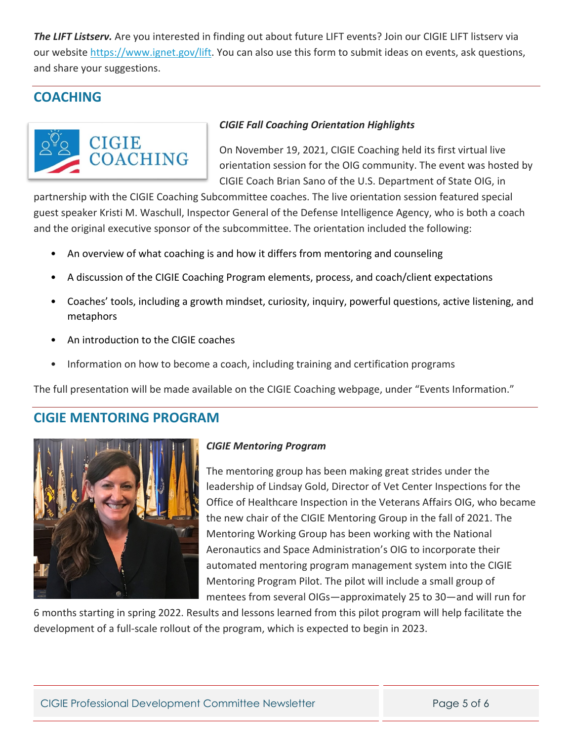*The LIFT Listserv.* Are you interested in finding out about future LIFT events? Join our CIGIE LIFT listserv via our website [https://www.ignet.gov/lift.](https://www.ignet.gov/lift) You can also use this form to submit ideas on events, ask questions, and share your suggestions.

# **COACHING**



## *CIGIE Fall Coaching Orientation Highlights*

On November 19, 2021, CIGIE Coaching held its first virtual live orientation session for the OIG community. The event was hosted by CIGIE Coach Brian Sano of the U.S. Department of State OIG, in

partnership with the CIGIE Coaching Subcommittee coaches. The live orientation session featured special guest speaker Kristi M. Waschull, Inspector General of the Defense Intelligence Agency, who is both a coach and the original executive sponsor of the subcommittee. The orientation included the following:

- An overview of what coaching is and how it differs from mentoring and counseling
- A discussion of the CIGIE Coaching Program elements, process, and coach/client expectations
- Coaches' tools, including a growth mindset, curiosity, inquiry, powerful questions, active listening, and metaphors
- An introduction to the CIGIE coaches
- Information on how to become a coach, including training and certification programs

The full presentation will be made available on the CIGIE Coaching webpage, under "Events Information."

# **CIGIE MENTORING PROGRAM**



### *CIGIE Mentoring Program*

The mentoring group has been making great strides under the leadership of Lindsay Gold, Director of Vet Center Inspections for the Office of Healthcare Inspection in the Veterans Affairs OIG, who became the new chair of the CIGIE Mentoring Group in the fall of 2021. The Mentoring Working Group has been working with the National Aeronautics and Space Administration's OIG to incorporate their automated mentoring program management system into the CIGIE Mentoring Program Pilot. The pilot will include a small group of mentees from several OIGs—approximately 25 to 30—and will run for

6 months starting in spring 2022. Results and lessons learned from this pilot program will help facilitate the development of a full-scale rollout of the program, which is expected to begin in 2023.